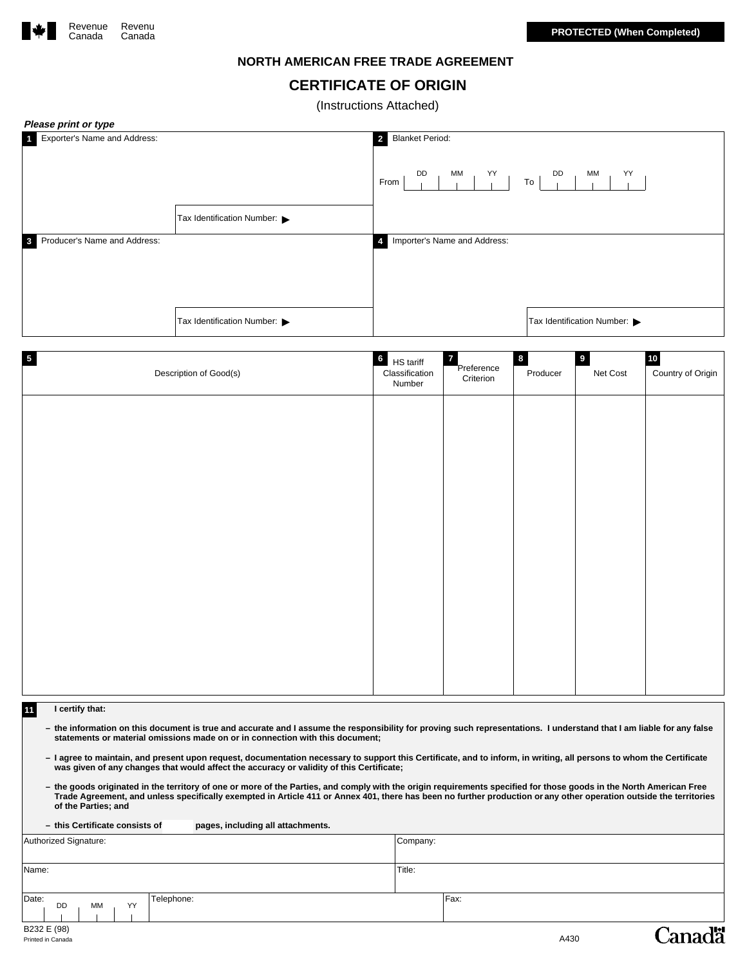

## **NORTH AMERICAN FREE TRADE AGREEMENT**

# **CERTIFICATE OF ORIGIN**

(Instructions Attached)

| Please print or type                                    |                            |                                                          |                                         |                      |                                     |                                     |
|---------------------------------------------------------|----------------------------|----------------------------------------------------------|-----------------------------------------|----------------------|-------------------------------------|-------------------------------------|
| Exporter's Name and Address:                            | Tax Identification Number: | <b>Blanket Period:</b><br>$\overline{2}$<br>DD<br>From   | MM<br>YY                                | DD<br>To             | YY<br>MM                            |                                     |
| Producer's Name and Address:<br>$\overline{\mathbf{3}}$ |                            | $\overline{4}$                                           | Importer's Name and Address:            |                      |                                     |                                     |
|                                                         | Tax Identification Number: |                                                          |                                         |                      | Tax Identification Number:          |                                     |
| $\overline{5}$                                          | Description of Good(s)     | $6\overline{6}$<br>HS tariff<br>Classification<br>Number | $\mathbf{7}$<br>Preference<br>Criterion | $\bf{8}$<br>Producer | $\overline{\mathbf{9}}$<br>Net Cost | $\frac{10}{1}$<br>Country of Origin |
|                                                         |                            |                                                          |                                         |                      |                                     |                                     |
|                                                         |                            |                                                          |                                         |                      |                                     |                                     |
|                                                         |                            |                                                          |                                         |                      |                                     |                                     |
|                                                         |                            |                                                          |                                         |                      |                                     |                                     |
|                                                         |                            |                                                          |                                         |                      |                                     |                                     |
|                                                         |                            |                                                          |                                         |                      |                                     |                                     |

#### **11 I certify that:**

- the information on this document is true and accurate and I assume the responsibility for proving such representations. I understand that I am liable for any false<br>statements or material omissions made on or in connectio
- **– I agree to maintain, and present upon request, documentation necessary to support this Certificate, and to inform, in writing, all persons to whom the Certificate was given of any changes that would affect the accuracy or validity of this Certificate;**
- the goods originated in the territory of one or more of the Parties, and comply with the origin requirements specified for those goods in the North American Free<br>Trade Agreement, and unless specifically exempted in Article

| - this Certificate consists of<br>pages, including all attachments. |          |
|---------------------------------------------------------------------|----------|
| Authorized Signature:                                               | Company: |
|                                                                     |          |
| Name:                                                               | Title:   |
|                                                                     |          |
| Date:<br>Telephone:<br>YY<br>МM<br>DD                               | Fax:     |

**Canadä**